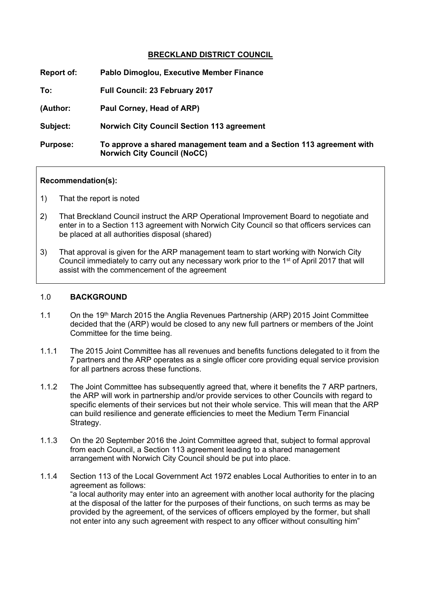## **BRECKLAND DISTRICT COUNCIL**

| Report of:      | Pablo Dimoglou, Executive Member Finance                                                                   |
|-----------------|------------------------------------------------------------------------------------------------------------|
| To:             | <b>Full Council: 23 February 2017</b>                                                                      |
| (Author:        | Paul Corney, Head of ARP)                                                                                  |
| Subject:        | <b>Norwich City Council Section 113 agreement</b>                                                          |
| <b>Purpose:</b> | To approve a shared management team and a Section 113 agreement with<br><b>Norwich City Council (NoCC)</b> |

#### **Recommendation(s):**

- 1) That the report is noted
- 2) That Breckland Council instruct the ARP Operational Improvement Board to negotiate and enter in to a Section 113 agreement with Norwich City Council so that officers services can be placed at all authorities disposal (shared)
- 3) That approval is given for the ARP management team to start working with Norwich City Council immediately to carry out any necessary work prior to the 1<sup>st</sup> of April 2017 that will assist with the commencement of the agreement

#### 1.0 **BACKGROUND**

- 1.1 On the 19th March 2015 the Anglia Revenues Partnership (ARP) 2015 Joint Committee decided that the (ARP) would be closed to any new full partners or members of the Joint Committee for the time being.
- 1.1.1 The 2015 Joint Committee has all revenues and benefits functions delegated to it from the 7 partners and the ARP operates as a single officer core providing equal service provision for all partners across these functions.
- 1.1.2 The Joint Committee has subsequently agreed that, where it benefits the 7 ARP partners, the ARP will work in partnership and/or provide services to other Councils with regard to specific elements of their services but not their whole service. This will mean that the ARP can build resilience and generate efficiencies to meet the Medium Term Financial Strategy.
- 1.1.3 On the 20 September 2016 the Joint Committee agreed that, subject to formal approval from each Council, a Section 113 agreement leading to a shared management arrangement with Norwich City Council should be put into place.
- 1.1.4 Section 113 of the Local Government Act 1972 enables Local Authorities to enter in to an agreement as follows: "a local authority may enter into an agreement with another local authority for the placing at the disposal of the latter for the purposes of their functions, on such terms as may be provided by the agreement, of the services of officers employed by the former, but shall not enter into any such agreement with respect to any officer without consulting him"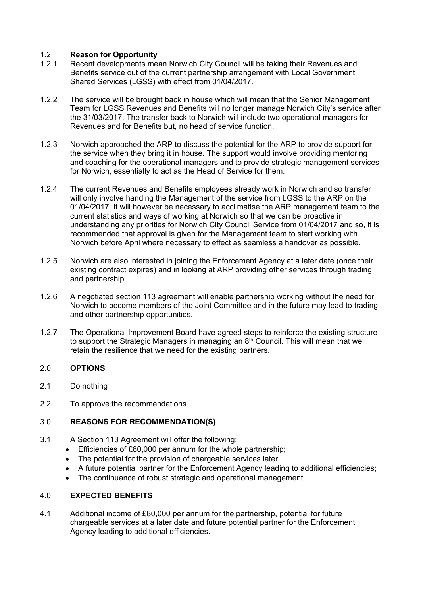# 1.2 **Reason for Opportunity**

- Recent developments mean Norwich City Council will be taking their Revenues and Benefits service out of the current partnership arrangement with Local Government Shared Services (LGSS) with effect from 01/04/2017.
- 1.2.2 The service will be brought back in house which will mean that the Senior Management Team for LGSS Revenues and Benefits will no longer manage Norwich City's service after the 31/03/2017. The transfer back to Norwich will include two operational managers for Revenues and for Benefits but, no head of service function.
- 1.2.3 Norwich approached the ARP to discuss the potential for the ARP to provide support for the service when they bring it in house. The support would involve providing mentoring and coaching for the operational managers and to provide strategic management services for Norwich, essentially to act as the Head of Service for them.
- 1.2.4 The current Revenues and Benefits employees already work in Norwich and so transfer will only involve handing the Management of the service from LGSS to the ARP on the 01/04/2017. It will however be necessary to acclimatise the ARP management team to the current statistics and ways of working at Norwich so that we can be proactive in understanding any priorities for Norwich City Council Service from 01/04/2017 and so, it is recommended that approval is given for the Management team to start working with Norwich before April where necessary to effect as seamless a handover as possible.
- 1.2.5 Norwich are also interested in joining the Enforcement Agency at a later date (once their existing contract expires) and in looking at ARP providing other services through trading and partnership.
- 1.2.6 A negotiated section 113 agreement will enable partnership working without the need for Norwich to become members of the Joint Committee and in the future may lead to trading and other partnership opportunities.
- 1.2.7 The Operational Improvement Board have agreed steps to reinforce the existing structure to support the Strategic Managers in managing an 8<sup>th</sup> Council. This will mean that we retain the resilience that we need for the existing partners.

# 2.0 **OPTIONS**

- 2.1 Do nothing
- 2.2 To approve the recommendations

### 3.0 **REASONS FOR RECOMMENDATION(S)**

- 3.1 A Section 113 Agreement will offer the following:
	- **Efficiencies of £80,000 per annum for the whole partnership;**
	- The potential for the provision of chargeable services later.
	- A future potential partner for the Enforcement Agency leading to additional efficiencies;
	- The continuance of robust strategic and operational management

#### 4.0 **EXPECTED BENEFITS**

4.1 Additional income of £80,000 per annum for the partnership, potential for future chargeable services at a later date and future potential partner for the Enforcement Agency leading to additional efficiencies.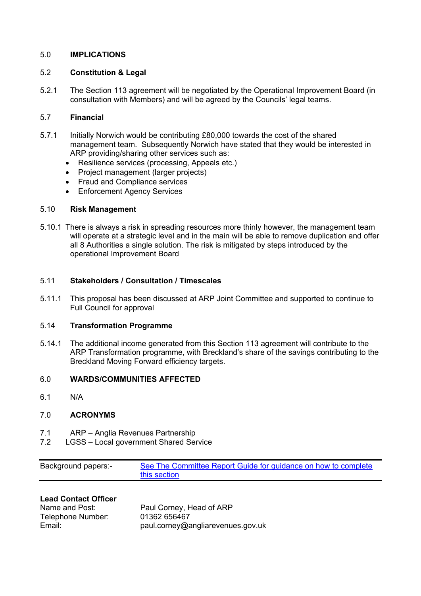## 5.0 **IMPLICATIONS**

## 5.2 **Constitution & Legal**

5.2.1 The Section 113 agreement will be negotiated by the Operational Improvement Board (in consultation with Members) and will be agreed by the Councils' legal teams.

### 5.7 **Financial**

- 5.7.1 Initially Norwich would be contributing £80,000 towards the cost of the shared management team. Subsequently Norwich have stated that they would be interested in ARP providing/sharing other services such as:
	- Resilience services (processing, Appeals etc.)
	- Project management (larger projects)
	- Fraud and Compliance services
	- Enforcement Agency Services

#### 5.10 **Risk Management**

5.10.1 There is always a risk in spreading resources more thinly however, the management team will operate at a strategic level and in the main will be able to remove duplication and offer all 8 Authorities a single solution. The risk is mitigated by steps introduced by the operational Improvement Board

#### 5.11 **Stakeholders / Consultation / Timescales**

5.11.1 This proposal has been discussed at ARP Joint Committee and supported to continue to Full Council for approval

### 5.14 **Transformation Programme**

5.14.1 The additional income generated from this Section 113 agreement will contribute to the ARP Transformation programme, with Breckland's share of the savings contributing to the Breckland Moving Forward efficiency targets.

### 6.0 **WARDS/COMMUNITIES AFFECTED**

6.1 N/A

# 7.0 **ACRONYMS**

- 7.1 ARP Anglia Revenues Partnership
- 7.2 LGSS Local government Shared Service

| <b>Background papers:-</b> | See The Committee Report Guide for guidance on how to complete |
|----------------------------|----------------------------------------------------------------|
|                            | this section                                                   |

# **Lead Contact Officer**

| Name and Post:    | Paul Corney, Head of ARP          |
|-------------------|-----------------------------------|
| Telephone Number: | 01362 656467                      |
| Email:            | paul.corney@angliarevenues.gov.uk |